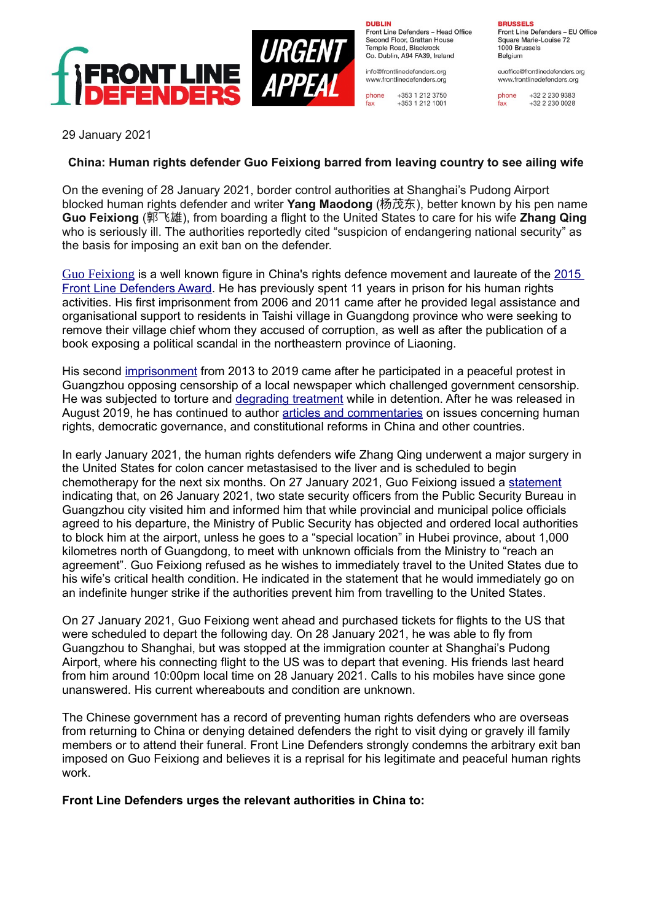

**DURLIN** Front Line Defenders - Head Office Second Floor, Grattan House Temple Boad, Blackrock Co. Dublin, A94 FA39, Ireland

info@frontlinedefenders.org www.frontlinedefenders.org

+353 1 212 3750 phone fax +353 1 212 1001 **BDHCCELC** 

Front Line Defenders - EU Office Square Marie-Louise 72 1000 Brussels Belgium

euoffice@frontlinedefenders.org www.frontlinedefenders.org

+32 2 230 9383 fax +32 2 230 0028

29 January 2021

## **China: Human rights defender Guo Feixiong barred from leaving country to see ailing wife**

On the evening of 28 January 2021, border control authorities at Shanghai's Pudong Airport blocked human rights defender and writer **Yang Maodong** (杨茂东), better known by his pen name **Guo Feixiong** (郭飞雄), from boarding a flight to the United States to care for his wife **Zhang Qing** who is seriously ill. The authorities reportedly cited "suspicion of endangering national security" as the basis for imposing an exit ban on the defender.

[Guo Feixiong](https://www.frontlinedefenders.org/en/profile/guo-feixiong) is a well known figure in China's rights defence movement and laureate of the [2015](https://www.frontlinedefenders.org/en/2015-front-line-defenders-award)  [Front Line Defenders Award.](https://www.frontlinedefenders.org/en/2015-front-line-defenders-award) He has previously spent 11 years in prison for his human rights activities. His first imprisonment from 2006 and 2011 came after he provided legal assistance and organisational support to residents in Taishi village in Guangdong province who were seeking to remove their village chief whom they accused of corruption, as well as after the publication of a book exposing a political scandal in the northeastern province of Liaoning.

His second [imprisonment](https://www.frontlinedefenders.org/en/case/case-history-guo-feixiong) from 2013 to 2019 came after he participated in a peaceful protest in Guangzhou opposing censorship of a local newspaper which challenged government censorship. He was subjected to torture and [degrading treatment](https://www.ohchr.org/EN/NewsEvents/Pages/DisplayNews.aspx?NewsID=20340) while in detention. After he was released in August 2019, he has continued to author [articles and commentaries](https://xzmz.org/) on issues concerning human rights, democratic governance, and constitutional reforms in China and other countries.

In early January 2021, the human rights defenders wife Zhang Qing underwent a major surgery in the United States for colon cancer metastasised to the liver and is scheduled to begin chemotherapy for the next six months. On 27 January 2021, Guo Feixiong issued a [statement](https://wqw2010.blogspot.com/2021/01/2021128.html) indicating that, on 26 January 2021, two state security officers from the Public Security Bureau in Guangzhou city visited him and informed him that while provincial and municipal police officials agreed to his departure, the Ministry of Public Security has objected and ordered local authorities to block him at the airport, unless he goes to a "special location" in Hubei province, about 1,000 kilometres north of Guangdong, to meet with unknown officials from the Ministry to "reach an agreement". Guo Feixiong refused as he wishes to immediately travel to the United States due to his wife's critical health condition. He indicated in the statement that he would immediately go on an indefinite hunger strike if the authorities prevent him from travelling to the United States.

On 27 January 2021, Guo Feixiong went ahead and purchased tickets for flights to the US that were scheduled to depart the following day. On 28 January 2021, he was able to fly from Guangzhou to Shanghai, but was stopped at the immigration counter at Shanghai's Pudong Airport, where his connecting flight to the US was to depart that evening. His friends last heard from him around 10:00pm local time on 28 January 2021. Calls to his mobiles have since gone unanswered. His current whereabouts and condition are unknown.

The Chinese government has a record of preventing human rights defenders who are overseas from returning to China or denying detained defenders the right to visit dying or gravely ill family members or to attend their funeral. Front Line Defenders strongly condemns the arbitrary exit ban imposed on Guo Feixiong and believes it is a reprisal for his legitimate and peaceful human rights work.

**Front Line Defenders urges the relevant authorities in China to:**